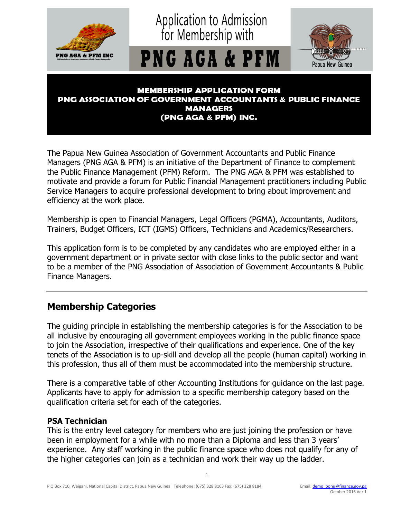

#### **MEMBERSHIP APPLICATION FORM PNG ASSOCIATION OF GOVERNMENT ACCOUNTANTS & PUBLIC FINANCE MANAGERS** (PNG AGA & PFM) INC.

The Papua New Guinea Association of Government Accountants and Public Finance Managers (PNG AGA & PFM) is an initiative of the Department of Finance to complement the Public Finance Management (PFM) Reform. The PNG AGA & PFM was established to motivate and provide a forum for Public Financial Management practitioners including Public Service Managers to acquire professional development to bring about improvement and efficiency at the work place.

Membership is open to Financial Managers, Legal Officers (PGMA), Accountants, Auditors, Trainers, Budget Officers, ICT (IGMS) Officers, Technicians and Academics/Researchers.

This application form is to be completed by any candidates who are employed either in a government department or in private sector with close links to the public sector and want to be a member of the PNG Association of Association of Government Accountants & Public Finance Managers.

## **Membership Categories**

The guiding principle in establishing the membership categories is for the Association to be all inclusive by encouraging all government employees working in the public finance space to join the Association, irrespective of their qualifications and experience. One of the key tenets of the Association is to up-skill and develop all the people (human capital) working in this profession, thus all of them must be accommodated into the membership structure.

There is a comparative table of other Accounting Institutions for guidance on the last page. Applicants have to apply for admission to a specific membership category based on the qualification criteria set for each of the categories.

#### **PSA Technician**

This is the entry level category for members who are just joining the profession or have been in employment for a while with no more than a Diploma and less than 3 years' experience. Any staff working in the public finance space who does not qualify for any of the higher categories can join as a technician and work their way up the ladder.

1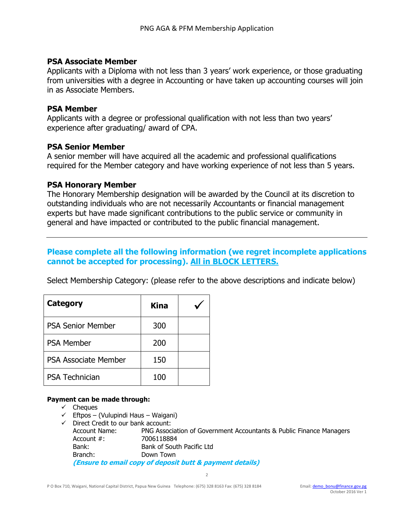#### **PSA Associate Member**

Applicants with a Diploma with not less than 3 years' work experience, or those graduating from universities with a degree in Accounting or have taken up accounting courses will join in as Associate Members.

#### **PSA Member**

Applicants with a degree or professional qualification with not less than two years' experience after graduating/ award of CPA.

#### **PSA Senior Member**

A senior member will have acquired all the academic and professional qualifications required for the Member category and have working experience of not less than 5 years.

#### **PSA Honorary Member**

The Honorary Membership designation will be awarded by the Council at its discretion to outstanding individuals who are not necessarily Accountants or financial management experts but have made significant contributions to the public service or community in general and have impacted or contributed to the public financial management.

### **Please complete all the following information (we regret incomplete applications cannot be accepted for processing). All in BLOCK LETTERS.**

Select Membership Category: (please refer to the above descriptions and indicate below)

| <b>Category</b>          | <b>Kina</b> |  |
|--------------------------|-------------|--|
| <b>PSA Senior Member</b> | 300         |  |
| <b>PSA Member</b>        | 200         |  |
| PSA Associate Member     | 150         |  |
| <b>PSA Technician</b>    | 100         |  |

#### **Payment can be made through:**

- $\checkmark$  Cheques
- $\checkmark$  Eftpos (Vulupindi Haus Waigani)
- $\checkmark$  Direct Credit to our bank account: Account Name: PNG Association of Government Accountants & Public Finance Managers Account #: 7006118884 Bank: Bank of South Pacific Ltd Branch: Down Town **(Ensure to email copy of deposit butt & payment details)**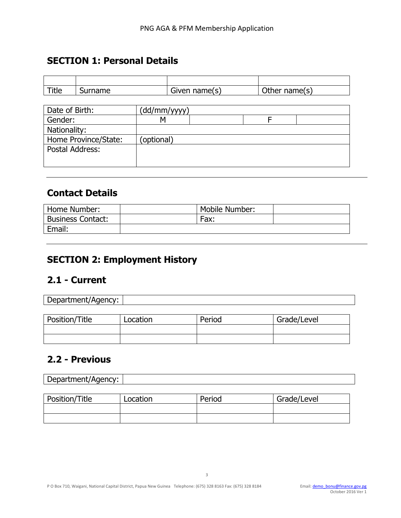### **SECTION 1: Personal Details**

| Title | ame<br>эu | name(s)<br><b>GIVAN</b> | Other name(s) |
|-------|-----------|-------------------------|---------------|

| Date of Birth:       | (dd/mm/yyyy) |  |
|----------------------|--------------|--|
| Gender:              |              |  |
| Nationality:         |              |  |
| Home Province/State: | (optional)   |  |
| Postal Address:      |              |  |
|                      |              |  |

## **Contact Details**

| Home Number:             | Mobile Number: |  |
|--------------------------|----------------|--|
| <b>Business Contact:</b> | Fax:           |  |
| Email:                   |                |  |

# **SECTION 2: Employment History**

## **2.1 - Current**

| Department/Agency:<br><u>U</u> |  |
|--------------------------------|--|
|                                |  |

| Position/Title | Location | Period | Grade/Level |
|----------------|----------|--------|-------------|
|                |          |        |             |
|                |          |        |             |

# **2.2 - Previous**

| Department/Agency: |  |
|--------------------|--|
|                    |  |

| Position/Title | Location | Period | Grade/Level |
|----------------|----------|--------|-------------|
|                |          |        |             |
|                |          |        |             |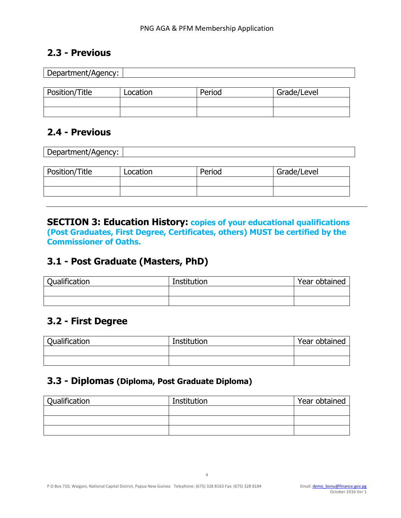## **2.3 - Previous**

| Department/Agency: |          |        |             |  |
|--------------------|----------|--------|-------------|--|
|                    |          |        |             |  |
| Position/Title     | Location | Period | Grade/Level |  |
|                    |          |        |             |  |
|                    |          |        |             |  |

## **2.4 - Previous**

| Department/Agency: |          |        |             |  |
|--------------------|----------|--------|-------------|--|
|                    |          |        |             |  |
| Position/Title     | Location | Period | Grade/Level |  |
|                    |          |        |             |  |
|                    |          |        |             |  |

**SECTION 3: Education History: copies of your educational qualifications (Post Graduates, First Degree, Certificates, others) MUST be certified by the Commissioner of Oaths.**

## **3.1 - Post Graduate (Masters, PhD)**

| Qualification | Institution | Year obtained |
|---------------|-------------|---------------|
|               |             |               |
|               |             |               |

## **3.2 - First Degree**

| Qualification | Institution | Year obtained |
|---------------|-------------|---------------|
|               |             |               |
|               |             |               |

### **3.3 - Diplomas (Diploma, Post Graduate Diploma)**

| Qualification | Institution | Year obtained |
|---------------|-------------|---------------|
|               |             |               |
|               |             |               |
|               |             |               |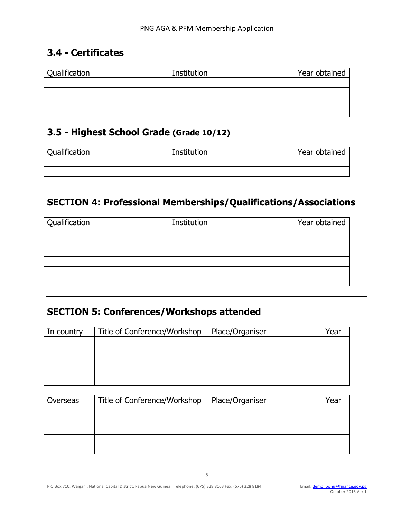# **3.4 - Certificates**

| Qualification | Institution | Year obtained |
|---------------|-------------|---------------|
|               |             |               |
|               |             |               |
|               |             |               |
|               |             |               |

# **3.5 - Highest School Grade (Grade 10/12)**

| Qualification | Institution | Year obtained |
|---------------|-------------|---------------|
|               |             |               |
|               |             |               |

# **SECTION 4: Professional Memberships/Qualifications/Associations**

| Qualification | Institution | Year obtained |
|---------------|-------------|---------------|
|               |             |               |
|               |             |               |
|               |             |               |
|               |             |               |
|               |             |               |
|               |             |               |

# **SECTION 5: Conferences/Workshops attended**

| In country | Title of Conference/Workshop | Place/Organiser | Year |
|------------|------------------------------|-----------------|------|
|            |                              |                 |      |
|            |                              |                 |      |
|            |                              |                 |      |
|            |                              |                 |      |
|            |                              |                 |      |

| Overseas | Title of Conference/Workshop | Place/Organiser | Yea. |
|----------|------------------------------|-----------------|------|
|          |                              |                 |      |
|          |                              |                 |      |
|          |                              |                 |      |
|          |                              |                 |      |
|          |                              |                 |      |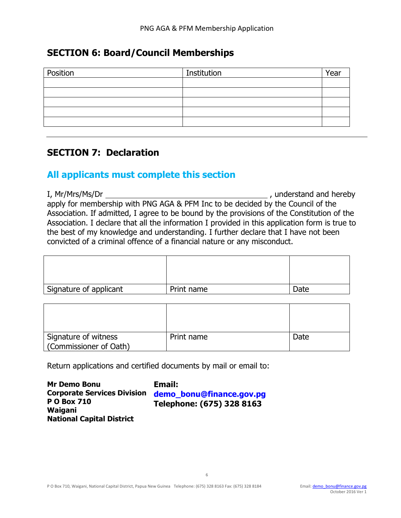### **SECTION 6: Board/Council Memberships**

| Institution | Year |
|-------------|------|
|             |      |
|             |      |
|             |      |
|             |      |
|             |      |
|             |      |

### **SECTION 7: Declaration**

### **All applicants must complete this section**

I, Mr/Mrs/Ms/Dr , understand and hereby apply for membership with PNG AGA & PFM Inc to be decided by the Council of the Association. If admitted, I agree to be bound by the provisions of the Constitution of the Association. I declare that all the information I provided in this application form is true to the best of my knowledge and understanding. I further declare that I have not been convicted of a criminal offence of a financial nature or any misconduct.

| Signature of applicant | Print name | Date |
|------------------------|------------|------|

| Signature of witness<br>Commissioner of Oath) | Print name | Date |
|-----------------------------------------------|------------|------|

Return applications and certified documents by mail or email to:

**Mr Demo Bonu Corporate Services Division P O Box 710 Waigani National Capital District**

**Email: [demo\\_bonu@finance.gov.pg](mailto:demo_bonu@finance.gov.pg) Telephone: (675) 328 8163**